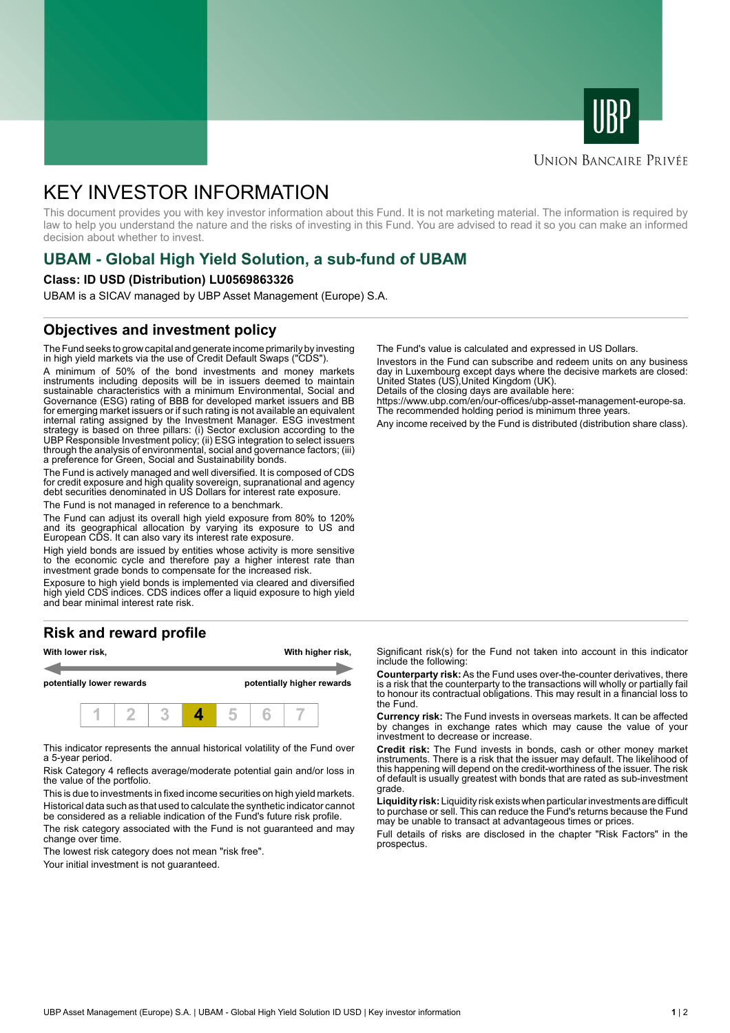



### **UNION BANCAIRE PRIVÉE**

# KEY INVESTOR INFORMATION

This document provides you with key investor information about this Fund. It is not marketing material. The information is required by law to help you understand the nature and the risks of investing in this Fund. You are advised to read it so you can make an informed decision about whether to invest.

# **UBAM - Global High Yield Solution, a sub-fund of UBAM**

#### **Class: ID USD (Distribution) LU0569863326**

UBAM is a SICAV managed by UBP Asset Management (Europe) S.A.

### **Objectives and investment policy**

The Fund seeks to grow capital and generate income primarily by investing in high yield markets via the use of Credit Default Swaps ("CDS").

A minimum of 50% of the bond investments and money markets instruments including deposits will be in issuers deemed to maintain sustainable characteristics with a minimum Environmental, Social and Governance (ESG) rating of BBB for developed market issuers and BB for emerging market issuers or if such rating is not available an equivalent internal rating assigned by the Investment Manager. ESG investment strategy is based on three pillars: (i) Sector exclusion according to the UBP Responsible Investment policy; (ii) ESG integration to select issuers through the analysis of environmental, social and governance factors; (iii) a preference for Green, Social and Sustainability bonds.

The Fund is actively managed and well diversified. It is composed of CDS for credit exposure and high quality sovereign, supranational and agency debt securities denominated in US Dollars for interest rate exposure.

The Fund is not managed in reference to a benchmark.

The Fund can adjust its overall high yield exposure from 80% to 120% and its geographical allocation by varying its exposure to US and European CDS. It can also vary its interest rate exposure.

High yield bonds are issued by entities whose activity is more sensitive to the economic cycle and therefore pay a higher interest rate than investment grade bonds to compensate for the increased risk.

Exposure to high yield bonds is implemented via cleared and diversified high yield CDS indices. CDS indices offer a liquid exposure to high yield and bear minimal interest rate risk.

# **Risk and reward profile**



This indicator represents the annual historical volatility of the Fund over a 5-year period.

Risk Category 4 reflects average/moderate potential gain and/or loss in the value of the portfolio.

This is due to investments in fixed income securities on high yield markets. Historical data such as that used to calculate the synthetic indicator cannot be considered as a reliable indication of the Fund's future risk profile. The risk category associated with the Fund is not guaranteed and may

change over time.

The lowest risk category does not mean "risk free".

Your initial investment is not guaranteed.

The Fund's value is calculated and expressed in US Dollars.

Investors in the Fund can subscribe and redeem units on any business day in Luxembourg except days where the decisive markets are closed: United States (US),United Kingdom (UK).

Details of the closing days are available here:

https://www.ubp.com/en/our-offices/ubp-asset-management-europe-sa. The recommended holding period is minimum three years.

Any income received by the Fund is distributed (distribution share class).

Significant risk(s) for the Fund not taken into account in this indicator include the following:

**Counterparty risk:** As the Fund uses over-the-counter derivatives, there is a risk that the counterparty to the transactions will wholly or partially fail to honour its contractual obligations. This may result in a financial loss to the Fund.

**Currency risk:** The Fund invests in overseas markets. It can be affected by changes in exchange rates which may cause the value of your investment to decrease or increase.

**Credit risk:** The Fund invests in bonds, cash or other money market instruments. There is a risk that the issuer may default. The likelihood of this happening will depend on the credit-worthiness of the issuer. The risk of default is usually greatest with bonds that are rated as sub-investment grade.

**Liquidity risk:** Liquidity risk exists when particular investments are difficult to purchase or sell. This can reduce the Fund's returns because the Fund may be unable to transact at advantageous times or prices.

Full details of risks are disclosed in the chapter "Risk Factors" in the prospectus.